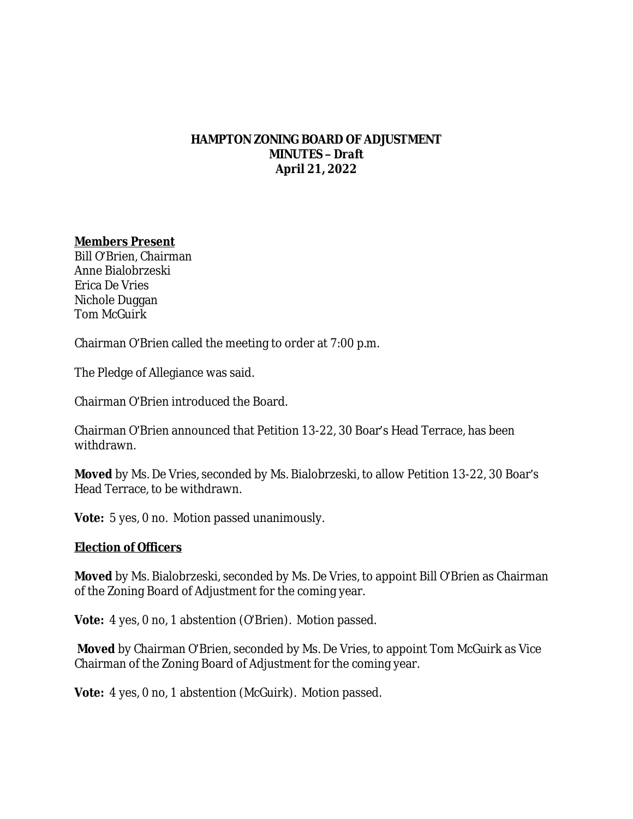#### **HAMPTON ZONING BOARD OF ADJUSTMENT MINUTES –** *Draft* **April 21, 2022**

#### **Members Present**

Bill O'Brien, Chairman Anne Bialobrzeski Erica De Vries Nichole Duggan Tom McGuirk

Chairman O'Brien called the meeting to order at 7:00 p.m.

The Pledge of Allegiance was said.

Chairman O'Brien introduced the Board.

Chairman O'Brien announced that Petition 13-22, 30 Boar's Head Terrace, has been withdrawn.

**Moved** by Ms. De Vries, seconded by Ms. Bialobrzeski, to allow Petition 13-22, 30 Boar's Head Terrace, to be withdrawn.

**Vote:** 5 yes, 0 no. Motion passed unanimously.

#### **Election of Officers**

**Moved** by Ms. Bialobrzeski, seconded by Ms. De Vries, to appoint Bill O'Brien as Chairman of the Zoning Board of Adjustment for the coming year.

**Vote:** 4 yes, 0 no, 1 abstention (O'Brien). Motion passed.

**Moved** by Chairman O'Brien, seconded by Ms. De Vries, to appoint Tom McGuirk as Vice Chairman of the Zoning Board of Adjustment for the coming year.

**Vote:** 4 yes, 0 no, 1 abstention (McGuirk). Motion passed.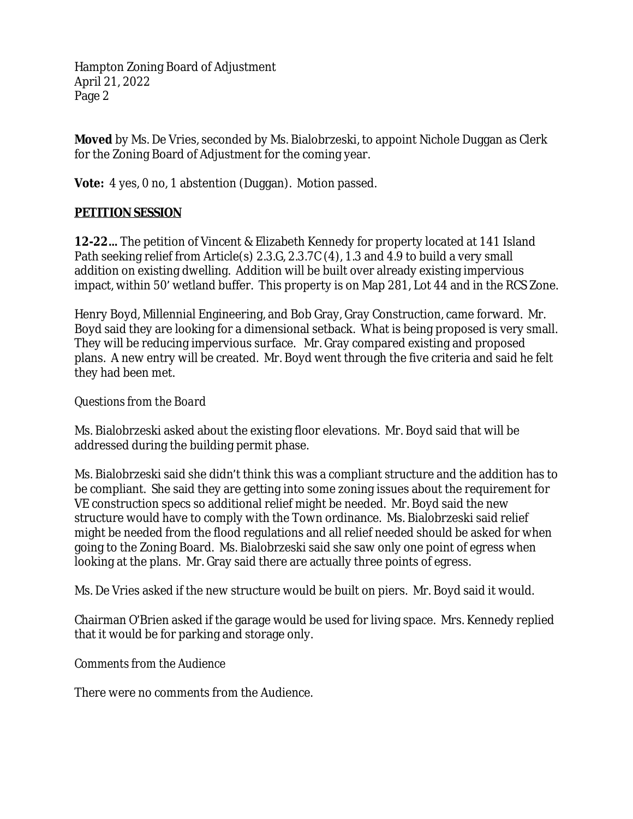**Moved** by Ms. De Vries, seconded by Ms. Bialobrzeski, to appoint Nichole Duggan as Clerk for the Zoning Board of Adjustment for the coming year.

**Vote:** 4 yes, 0 no, 1 abstention (Duggan). Motion passed.

# **PETITION SESSION**

**12-22…** The petition of Vincent & Elizabeth Kennedy for property located at 141 Island Path seeking relief from Article(s) 2.3.G, 2.3.7C (4), 1.3 and 4.9 to build a very small addition on existing dwelling. Addition will be built over already existing impervious impact, within 50' wetland buffer. This property is on Map 281, Lot 44 and in the RCS Zone.

Henry Boyd, Millennial Engineering, and Bob Gray, Gray Construction, came forward. Mr. Boyd said they are looking for a dimensional setback. What is being proposed is very small. They will be reducing impervious surface. Mr. Gray compared existing and proposed plans. A new entry will be created. Mr. Boyd went through the five criteria and said he felt they had been met.

# *Questions from the Board*

Ms. Bialobrzeski asked about the existing floor elevations. Mr. Boyd said that will be addressed during the building permit phase.

Ms. Bialobrzeski said she didn't think this was a compliant structure and the addition has to be compliant. She said they are getting into some zoning issues about the requirement for VE construction specs so additional relief might be needed. Mr. Boyd said the new structure would have to comply with the Town ordinance. Ms. Bialobrzeski said relief might be needed from the flood regulations and all relief needed should be asked for when going to the Zoning Board. Ms. Bialobrzeski said she saw only one point of egress when looking at the plans. Mr. Gray said there are actually three points of egress.

Ms. De Vries asked if the new structure would be built on piers. Mr. Boyd said it would.

Chairman O'Brien asked if the garage would be used for living space. Mrs. Kennedy replied that it would be for parking and storage only.

# *Comments from the Audience*

There were no comments from the Audience.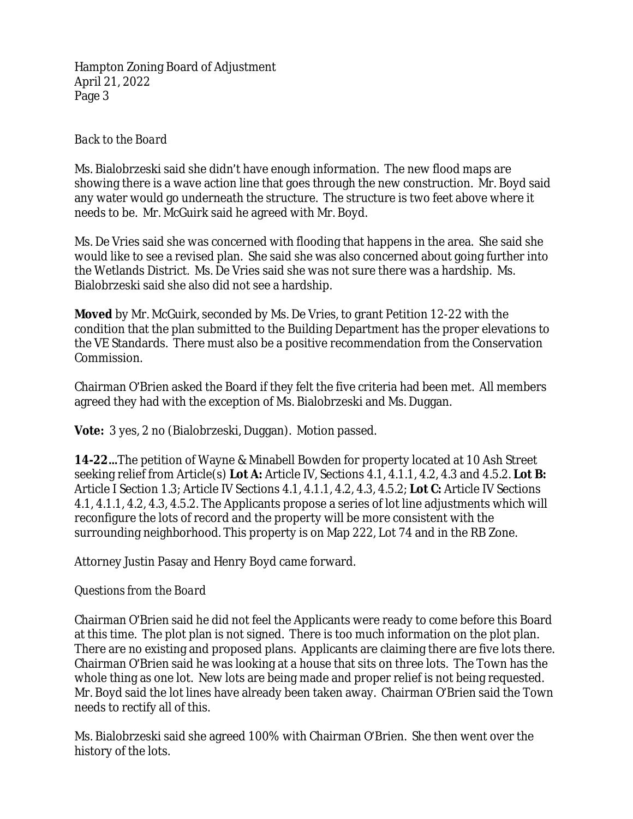### *Back to the Board*

Ms. Bialobrzeski said she didn't have enough information. The new flood maps are showing there is a wave action line that goes through the new construction. Mr. Boyd said any water would go underneath the structure. The structure is two feet above where it needs to be. Mr. McGuirk said he agreed with Mr. Boyd.

Ms. De Vries said she was concerned with flooding that happens in the area. She said she would like to see a revised plan. She said she was also concerned about going further into the Wetlands District. Ms. De Vries said she was not sure there was a hardship. Ms. Bialobrzeski said she also did not see a hardship.

**Moved** by Mr. McGuirk, seconded by Ms. De Vries, to grant Petition 12-22 with the condition that the plan submitted to the Building Department has the proper elevations to the VE Standards. There must also be a positive recommendation from the Conservation Commission.

Chairman O'Brien asked the Board if they felt the five criteria had been met. All members agreed they had with the exception of Ms. Bialobrzeski and Ms. Duggan.

**Vote:** 3 yes, 2 no (Bialobrzeski, Duggan). Motion passed.

**14-22…**The petition of Wayne & Minabell Bowden for property located at 10 Ash Street seeking relief from Article(s) **Lot A:** Article IV, Sections 4.1, 4.1.1, 4.2, 4.3 and 4.5.2. **Lot B:**  Article I Section 1.3; Article IV Sections 4.1, 4.1.1, 4.2, 4.3, 4.5.2; **Lot C:** Article IV Sections 4.1, 4.1.1, 4.2, 4.3, 4.5.2. The Applicants propose a series of lot line adjustments which will reconfigure the lots of record and the property will be more consistent with the surrounding neighborhood. This property is on Map 222, Lot 74 and in the RB Zone.

Attorney Justin Pasay and Henry Boyd came forward.

# *Questions from the Board*

Chairman O'Brien said he did not feel the Applicants were ready to come before this Board at this time. The plot plan is not signed. There is too much information on the plot plan. There are no existing and proposed plans. Applicants are claiming there are five lots there. Chairman O'Brien said he was looking at a house that sits on three lots. The Town has the whole thing as one lot. New lots are being made and proper relief is not being requested. Mr. Boyd said the lot lines have already been taken away. Chairman O'Brien said the Town needs to rectify all of this.

Ms. Bialobrzeski said she agreed 100% with Chairman O'Brien. She then went over the history of the lots.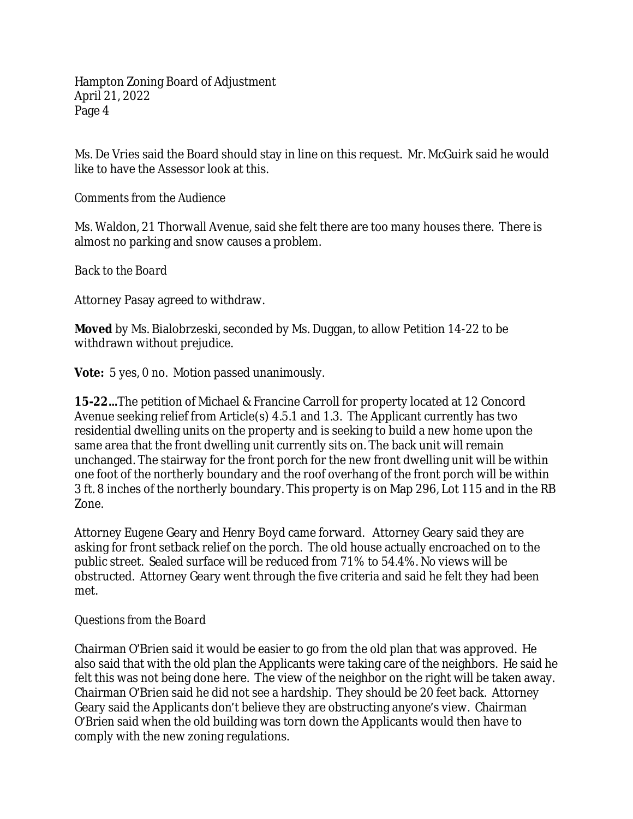Ms. De Vries said the Board should stay in line on this request. Mr. McGuirk said he would like to have the Assessor look at this.

### *Comments from the Audience*

Ms. Waldon, 21 Thorwall Avenue, said she felt there are too many houses there. There is almost no parking and snow causes a problem.

*Back to the Board*

Attorney Pasay agreed to withdraw.

**Moved** by Ms. Bialobrzeski, seconded by Ms. Duggan, to allow Petition 14-22 to be withdrawn without prejudice.

**Vote:** 5 yes, 0 no. Motion passed unanimously.

**15-22…**The petition of Michael & Francine Carroll for property located at 12 Concord Avenue seeking relief from Article(s) 4.5.1 and 1.3. The Applicant currently has two residential dwelling units on the property and is seeking to build a new home upon the same area that the front dwelling unit currently sits on. The back unit will remain unchanged. The stairway for the front porch for the new front dwelling unit will be within one foot of the northerly boundary and the roof overhang of the front porch will be within 3 ft. 8 inches of the northerly boundary. This property is on Map 296, Lot 115 and in the RB Zone.

Attorney Eugene Geary and Henry Boyd came forward. Attorney Geary said they are asking for front setback relief on the porch. The old house actually encroached on to the public street. Sealed surface will be reduced from 71% to 54.4%. No views will be obstructed. Attorney Geary went through the five criteria and said he felt they had been met.

### *Questions from the Board*

Chairman O'Brien said it would be easier to go from the old plan that was approved. He also said that with the old plan the Applicants were taking care of the neighbors. He said he felt this was not being done here. The view of the neighbor on the right will be taken away. Chairman O'Brien said he did not see a hardship. They should be 20 feet back. Attorney Geary said the Applicants don't believe they are obstructing anyone's view. Chairman O'Brien said when the old building was torn down the Applicants would then have to comply with the new zoning regulations.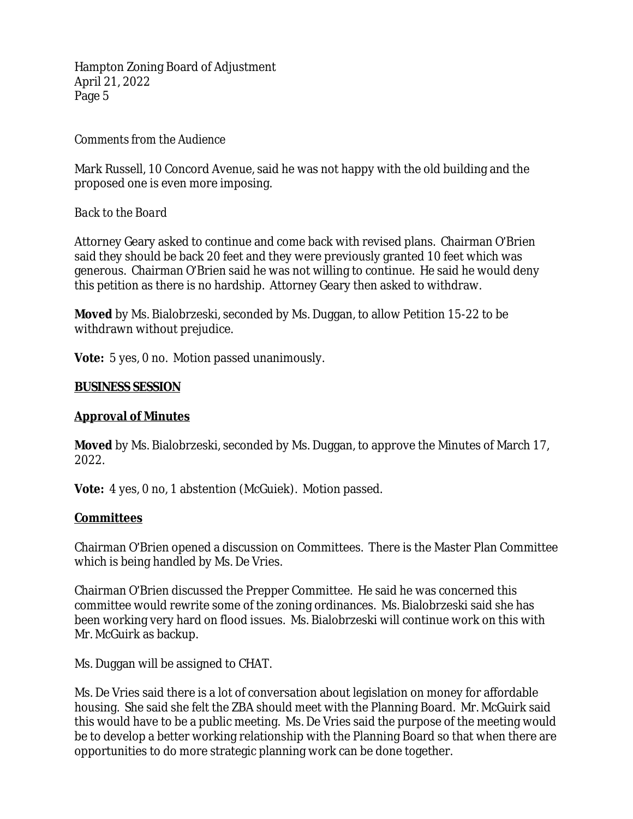### *Comments from the Audience*

Mark Russell, 10 Concord Avenue, said he was not happy with the old building and the proposed one is even more imposing.

### *Back to the Board*

Attorney Geary asked to continue and come back with revised plans. Chairman O'Brien said they should be back 20 feet and they were previously granted 10 feet which was generous. Chairman O'Brien said he was not willing to continue. He said he would deny this petition as there is no hardship. Attorney Geary then asked to withdraw.

**Moved** by Ms. Bialobrzeski, seconded by Ms. Duggan, to allow Petition 15-22 to be withdrawn without prejudice.

**Vote:** 5 yes, 0 no. Motion passed unanimously.

#### **BUSINESS SESSION**

### **Approval of Minutes**

**Moved** by Ms. Bialobrzeski, seconded by Ms. Duggan, to approve the Minutes of March 17, 2022.

**Vote:** 4 yes, 0 no, 1 abstention (McGuiek). Motion passed.

### **Committees**

Chairman O'Brien opened a discussion on Committees. There is the Master Plan Committee which is being handled by Ms. De Vries.

Chairman O'Brien discussed the Prepper Committee. He said he was concerned this committee would rewrite some of the zoning ordinances. Ms. Bialobrzeski said she has been working very hard on flood issues. Ms. Bialobrzeski will continue work on this with Mr. McGuirk as backup.

Ms. Duggan will be assigned to CHAT.

Ms. De Vries said there is a lot of conversation about legislation on money for affordable housing. She said she felt the ZBA should meet with the Planning Board. Mr. McGuirk said this would have to be a public meeting. Ms. De Vries said the purpose of the meeting would be to develop a better working relationship with the Planning Board so that when there are opportunities to do more strategic planning work can be done together.